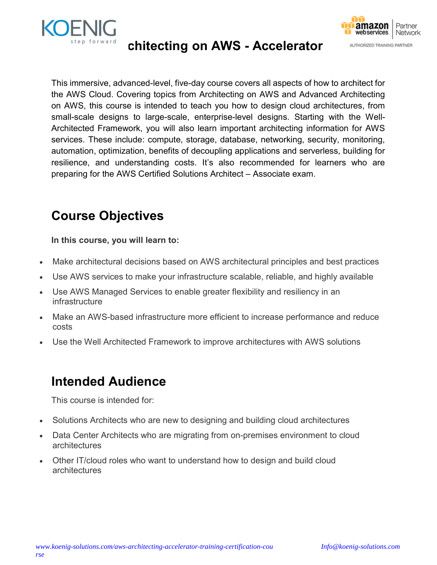



This immersive, advanced-level, five-day course covers all aspects of how to architect for the AWS Cloud. Covering topics from Architecting on AWS and Advanced Architecting on AWS, this course is intended to teach you how to design cloud architectures, from small-scale designs to large-scale, enterprise-level designs. Starting with the Well-Architected Framework, you will also learn important architecting information for AWS services. These include: compute, storage, database, networking, security, monitoring, automation, optimization, benefits of decoupling applications and serverless, building for resilience, and understanding costs. It's also recommended for learners who are preparing for the AWS Certified Solutions Architect – Associate exam.

## Course Objectives

In this course, you will learn to:

- Make architectural decisions based on AWS architectural principles and best practices
- Use AWS services to make your infrastructure scalable, reliable, and highly available
- Use AWS Managed Services to enable greater flexibility and resiliency in an infrastructure
- Make an AWS-based infrastructure more efficient to increase performance and reduce costs
- Use the Well Architected Framework to improve architectures with AWS solutions

## Intended Audience

This course is intended for:

- Solutions Architects who are new to designing and building cloud architectures
- Data Center Architects who are migrating from on-premises environment to cloud architectures
- Other IT/cloud roles who want to understand how to design and build cloud architectures

amazon

webservices

AUTHORIZED TRAINING PARTNER

Partner

Network